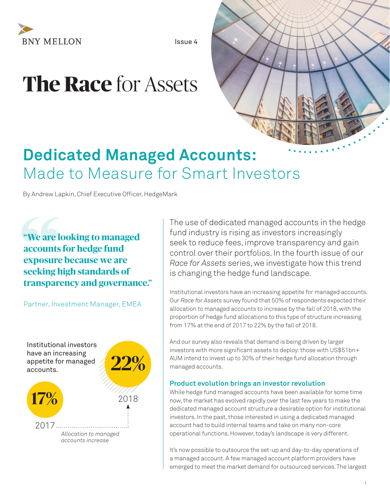

Issue 4

# **The Race** for Assets



# **Dedicated Managed Accounts:**  Made to Measure for Smart Investors

By Andrew Lapkin, Chief Executive Officer, HedgeMark

**Exposure<br>
Exposure<br>
<b>Seeking I**<br> **Cartner In: "We are looking to managed accounts for hedge fund exposure because we are seeking high standards of transparency and governance."**

Partner, Investment Manager, EMEA



The use of dedicated managed accounts in the hedge fund industry is rising as investors increasingly seek to reduce fees, improve transparency and gain control over their portfolios. In the fourth issue of our *Race for Assets* series, we investigate how this trend is changing the hedge fund landscape.

Institutional investors have an increasing appetite for managed accounts. Our *Race for Assets* survey found that 50% of respondents expected their allocation to managed accounts to increase by the fall of 2018, with the proportion of hedge fund allocations to this type of structure increasing from 17% at the end of 2017 to 22% by the fall of 2018.

And our survey also reveals that demand is being driven by larger investors with more significant assets to deploy: those with US\$51bn+ AUM intend to invest up to 30% of their hedge fund allocation through managed accounts.

#### **Product evolution brings an investor revolution**

While hedge fund managed accounts have been available for some time now, the market has evolved rapidly over the last few years to make the dedicated managed account structure a desirable option for institutional investors. In the past, those interested in using a dedicated managed account had to build internal teams and take on many non-core operational functions. However, today's landscape is very different.

It's now possible to outsource the set-up and day-to-day operations of a managed account. A few managed account platform providers have emerged to meet the market demand for outsourced services. The largest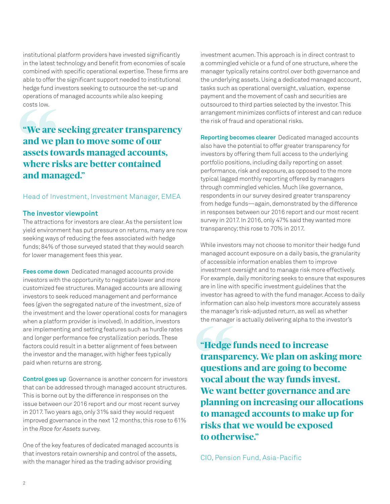institutional platform providers have invested significantly in the latest technology and benefit from economies of scale combined with specific operational expertise. These firms are able to offer the significant support needed to institutional hedge fund investors seeking to outsource the set-up and operations of managed accounts while also keeping costs low.

# **"We are seeking greater transparency and we plan to move some of our assets towards managed accounts, where risks are better contained and managed."**  costs low.<br>
"We are and we passets to where ri

#### Head of Investment, Investment Manager, EMEA

#### **The investor viewpoint**

The attractions for investors are clear. As the persistent low yield environment has put pressure on returns, many are now seeking ways of reducing the fees associated with hedge funds; 84% of those surveyed stated that they would search for lower management fees this year.

**Fees come down** Dedicated managed accounts provide investors with the opportunity to negotiate lower and more customized fee structures. Managed accounts are allowing investors to seek reduced management and performance fees (given the segregated nature of the investment, size of the investment and the lower operational costs for managers when a platform provider is involved). In addition, investors are implementing and setting features such as hurdle rates and longer performance fee crystallization periods. These factors could result in a better alignment of fees between the investor and the manager, with higher fees typically paid when returns are strong.

**Control goes up** Governance is another concern for investors that can be addressed through managed account structures. This is borne out by the difference in responses on the issue between our 2016 report and our most recent survey in 2017. Two years ago, only 31% said they would request improved governance in the next 12 months; this rose to 61% in the *Race for Assets* survey.

One of the key features of dedicated managed accounts is that investors retain ownership and control of the assets, with the manager hired as the trading advisor providing

investment acumen. This approach is in direct contrast to a commingled vehicle or a fund of one structure, where the manager typically retains control over both governance and the underlying assets. Using a dedicated managed account, tasks such as operational oversight, valuation, expense payment and the movement of cash and securities are outsourced to third parties selected by the investor. This arrangement minimizes conflicts of interest and can reduce the risk of fraud and operational risks.

**Reporting becomes clearer** Dedicated managed accounts also have the potential to offer greater transparency for investors by offering them full access to the underlying portfolio positions, including daily reporting on asset performance, risk and exposure, as opposed to the more typical lagged monthly reporting offered by managers through commingled vehicles. Much like governance, respondents in our survey desired greater transparency from hedge funds—again, demonstrated by the difference in responses between our 2016 report and our most recent survey in 2017. In 2016, only 47% said they wanted more transparency; this rose to 70% in 2017.

While investors may not choose to monitor their hedge fund managed account exposure on a daily basis, the granularity of accessible information enables them to improve investment oversight and to manage risk more effectively. For example, daily monitoring seeks to ensure that exposures are in line with specific investment guidelines that the investor has agreed to with the fund manager. Access to daily information can also help investors more accurately assess the manager's risk-adjusted return, as well as whether the manager is actually delivering alpha to the investor's

the manager<br>
"**Hedge** is<br> **transpainting to many**<br> **compainting to many "Hedge funds need to increase transparency. We plan on asking more questions and are going to become vocal about the way funds invest. We want better governance and are planning on increasing our allocations to managed accounts to make up for risks that we would be exposed to otherwise."**

CIO, Pension Fund, Asia-Pacific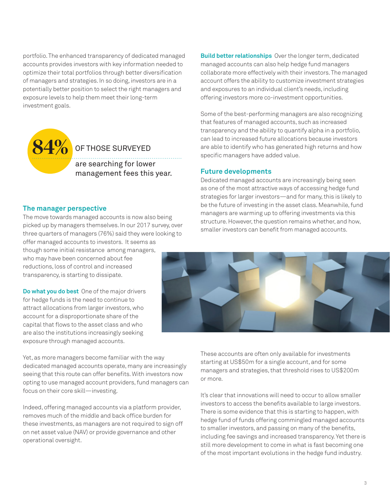portfolio. The enhanced transparency of dedicated managed accounts provides investors with key information needed to optimize their total portfolios through better diversification of managers and strategies. In so doing, investors are in a potentially better position to select the right managers and exposure levels to help them meet their long-term investment goals.



### are searching for lower management fees this year. OF THOSE SURVEYED

**The manager perspective**

The move towards managed accounts is now also being picked up by managers themselves. In our 2017 survey, over three quarters of managers (76%) said they were looking to offer managed accounts to investors. It seems as though some initial resistance among managers, who may have been concerned about fee reductions, loss of control and increased transparency, is starting to dissipate.

**Do what you do best** One of the major drivers for hedge funds is the need to continue to attract allocations from larger investors, who account for a disproportionate share of the capital that flows to the asset class and who are also the institutions increasingly seeking exposure through managed accounts.

Yet, as more managers become familiar with the way dedicated managed accounts operate, many are increasingly seeing that this route can offer benefits. With investors now opting to use managed account providers, fund managers can focus on their core skill—investing.

Indeed, offering managed accounts via a platform provider, removes much of the middle and back office burden for these investments, as managers are not required to sign off on net asset value (NAV) or provide governance and other operational oversight.

**Build better relationships** Over the longer term, dedicated managed accounts can also help hedge fund managers collaborate more effectively with their investors. The managed account offers the ability to customize investment strategies and exposures to an individual client's needs, including offering investors more co-investment opportunities.

Some of the best-performing managers are also recognizing that features of managed accounts, such as increased transparency and the ability to quantify alpha in a portfolio, can lead to increased future allocations because investors are able to identify who has generated high returns and how specific managers have added value.

#### **Future developments**

Dedicated managed accounts are increasingly being seen as one of the most attractive ways of accessing hedge fund strategies for larger investors—and for many, this is likely to be the future of investing in the asset class. Meanwhile, fund managers are warming up to offering investments via this structure. However, the question remains whether, and how, smaller investors can benefit from managed accounts.



These accounts are often only available for investments starting at US\$50m for a single account, and for some managers and strategies, that threshold rises to US\$200m or more.

It's clear that innovations will need to occur to allow smaller investors to access the benefits available to large investors. There is some evidence that this is starting to happen, with hedge fund of funds offering commingled managed accounts to smaller investors, and passing on many of the benefits, including fee savings and increased transparency. Yet there is still more development to come in what is fast becoming one of the most important evolutions in the hedge fund industry.